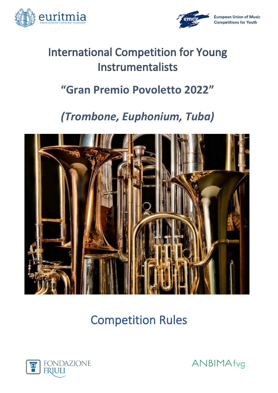



# **International Competition for Young** Instrumentalists

# **"Gran Premio Povoletto 2022"**

# *(Trombone, Euphonium, Tuba)*



Competition Rules



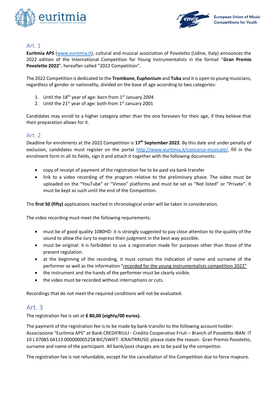



### Art. 1

**Euritmia APS** [\(www.euritmia.it\)](http://www.euritmia.it/), cultural and musical association of Povoletto (Udine, Italy) announces the 2022 edition of the International Competition for Young Instrumentalists in the format "**Gran Premio Povoletto 2022**", hereafter called "2022 Competition".

The 2022 Competition is dedicated to the **Trombone**, **Euphonium** and **Tuba** and it is open to young musicians, regardless of gender or nationality, divided on the base of age according to two categories:

- 1. Until the  $18^{th}$  year of age: born from  $1^{st}$  January 2004
- 2. Until the  $21^{st}$  year of age: both from  $1^{st}$  January 2001

Candidates may enroll to a higher category other than the one foreseen for their age, if they believe that their preparation allows for it.

### Art. 2

Deadline for enrolments at the 2022 Competition is **17th September 2022**. By this date and under penalty of exclusion, candidates must register on the portal [http://www.euritmia.it/concorso-musicale/,](http://www.euritmia.it/concorso-musicale/) fill in the enrolment form in all its fields, sign it and attach it together with the following documents:

- copy of receipt of payment of the registration fee to be paid via bank transfer
- link to a video recording of the program relative to the preliminary phase. The video must be uploaded on the "YouTube" or "Vimeo" platforms and must be set as "Not listed" or "Private". It must be kept as such until the end of the Competition.

The **first 50 (fifty)** applications reached in chronological order will be taken in consideration.

The video recording must meet the following requirements:

- must be of good quality 1080HD: it is strongly suggested to pay close attention to the quality of the sound to allow the Jury to express their judgment in the best way possible.
- must be original: it is forbidden to use a registration made for purposes other than those of the present regulation.
- at the beginning of the recording, it must contain the indication of name and surname of the performer as well as the information "recorded for the young instrumentalists competition 2022"
- the instrument and the hands of the performer must be clearly visible.
- the video must be recorded without interruptions or cuts.

Recordings that do not meet the required conditions will not be evaluated.

### Art. 3

The registration fee is set at **€ 80,00 (eighty/00 euros).** 

The payment of the registration fee is to be made by bank transfer to the following account holder: Associazione "Euritmia APS" at Bank CREDIFRIULI - Credito Cooperativo Friuli – Branch of Povoletto IBAN: IT 10 L 07085 64113 000000005258 BIC/SWIFT: ICRAITRRU50; please state the reason: Gran Premio Povoletto, surname and name of the participant. All bank/post charges are to be paid by the competitor.

The registration fee is not refundable, except for the cancellation of the Competition due to force majeure.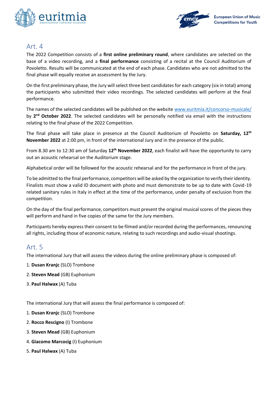



# Art. 4

The 2022 Competition consists of a **first online preliminary round**, where candidates are selected on the base of a video recording, and a **final performance** consisting of a recital at the Council Auditorium of Povoletto. Results will be communicated at the end of each phase. Candidates who are not admitted to the final phase will equally receive an assessment by the Jury.

On the first preliminary phase, the Jury will select three best candidates for each category (six in total) among the participants who submitted their video recordings. The selected candidates will perform at the final performance.

The names of the selected candidates will be published on the website [www.euritmia.it/concorso-musicale/](http://www.euritmia.it/concorso-musicale/)  by 2<sup>nd</sup> October 2022. The selected candidates will be personally notified via email with the instructions relating to the final phase of the 2022 Competition.

The final phase will take place in presence at the Council Auditorium of Povoletto on **Saturday, 12th November 2022** at 2:00 pm, in front of the international Jury and in the presence of the public.

From 8.30 am to 12:30 am of Saturday **12th November 2022**, each finalist will have the opportunity to carry out an acoustic rehearsal on the Auditorium stage.

Alphabetical order will be followed for the acoustic rehearsal and for the performance in front of the jury.

To be admitted to the final performance, competitors will be asked by the organization to verify their identity. Finalists must show a valid ID document with photo and must demonstrate to be up to date with Covid-19 related sanitary rules in Italy in effect at the time of the performance, under penalty of exclusion from the competition.

On the day of the final performance, competitors must present the original musical scores of the pieces they will perform and hand in five copies of the same for the Jury members.

Participants hereby express their consent to be filmed and/or recorded during the performances, renouncing all rights, including those of economic nature, relating to such recordings and audio-visual shootings.

## Art. 5

The international Jury that will assess the videos during the online preliminary phase is composed of:

- 1. **Dusan Kranjc** (SLO) Trombone
- 2. **Steven Mead** (GB) Euphonium
- 3. **Paul Halwax** (A) Tuba

The international Jury that will assess the final performance is composed of:

- 1. **Dusan Kranjc** (SLO) Trombone
- 2. **Rocco Rescigno** (I) Trombone
- 3. **Steven Mead** (GB) Euphonium
- 4. **Giacomo Marcocig** (I) Euphonium
- 5. **Paul Halwax** (A) Tuba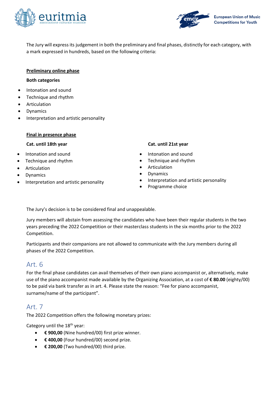



The Jury will express its judgement in both the preliminary and final phases, distinctly for each category, with a mark expressed in hundreds, based on the following criteria:

### **Preliminary online phase**

### **Both categories**

- Intonation and sound
- Technique and rhythm
- **Articulation**
- **Dynamics**
- Interpretation and artistic personality

### **Final in presence phase**

- Intonation and sound
- Technique and rhythm
- **Articulation**
- **Dynamics**
- Interpretation and artistic personality

### **Cat. until 18th year Cat. until 21st year**

- Intonation and sound
- Technique and rhythm
- **Articulation**
- **Dynamics**
- Interpretation and artistic personality
- Programme choice

The Jury's decision is to be considered final and unappealable.

Jury members will abstain from assessing the candidates who have been their regular students in the two years preceding the 2022 Competition or their masterclass students in the six months prior to the 2022 Competition.

Participants and their companions are not allowed to communicate with the Jury members during all phases of the 2022 Competition.

## Art. 6

For the final phase candidates can avail themselves of their own piano accompanist or, alternatively, make use of the piano accompanist made available by the Organizing Association, at a cost of **€ 80.00** (eighty/00) to be paid via bank transfer as in art. 4. Please state the reason: "Fee for piano accompanist, surname/name of the participant".

# Art. 7

The 2022 Competition offers the following monetary prizes:

Category until the 18<sup>th</sup> year:

- **€ 900,00** (Nine hundred/00) first prize winner.
- **€ 400,00** (Four hundred/00) second prize.
- **€ 200,00** (Two hundred/00) third prize.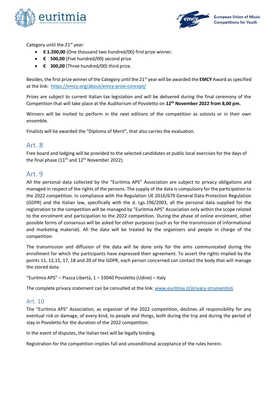



Category until the  $21<sup>st</sup>$  year:

- **€ 1.200,00** (One thousand two hundred/00) first prize winner.
- **€ 500,00** (Five hundred/00) second prize.
- **€ 300,00** (Three hundred/00) third prize.

Besides, the first prize winner of the Category until the 21st year will be awarded the **EMCY** Award as specified at the link: <https://emcy.org/about/emcy-prize-concept/>

Prizes are subject to current Italian tax legislation and will be delivered during the final ceremony of the Competition that will take place at the Auditorium of Povoletto on **12th November 2022 from 8,00 pm.** 

Winners will be invited to perform in the next editions of the competition as soloists or in their own ensemble.

Finalists will be awarded the "Diploma of Merit", that also carries the evaluation.

## Art. 8

Free board and lodging will be provided to the selected candidates at public local exercises for the days of the final phase ( $11<sup>th</sup>$  and  $12<sup>th</sup>$  November 2022).

## Art. 9

All the personal data collected by the "Euritmia APS" Association are subject to privacy obligations and managed in respect of the rights of the persons. The supply of the data is compulsory for the participation to the 2022 competition. In compliance with the Regulation UE 2016/679 General Data Protection Regulation (GDPR) and the Italian law, specifically with the d. Lgs.196/2003, all the personal data supplied for the registration to the competition will be managed by "Euritmia APS" Association only within the scope related to the enrolment and participation to the 2022 competition. During the phase of online enrolment, other possible forms of consensus will be asked for other purposes (such as for the transmission of informational and marketing material). All the data will be treated by the organizers and people in charge of the competition.

The transmission and diffusion of the data will be done only for the aims communicated during the enrollment for which the participants have expressed their agreement. To assert the rights implied by the points 11, 12,15, 17, 18 and 20 of the GDPR, each person concerned can contact the body that will manage the stored data:

```
"Euritmia APS" – Piazza Libertà, 1 – 33040 Povoletto (Udine) – Italy
```
The complete privacy statement can be consulted at the link: [www.euritmia.it/privacy-strumentisti](http://www.euritmia.it/privacy-strumentisti)

### Art. 10

The "Euritmia APS" Association, as organizer of the 2022 competition, declines all responsibility for any eventual risk or damage, of every kind, to people and things, both during the trip and during the period of stay in Povoletto for the duration of the 2022 competition.

In the event of disputes, the Italian text will be legally binding.

Registration for the competition implies full and unconditional acceptance of the rules herein.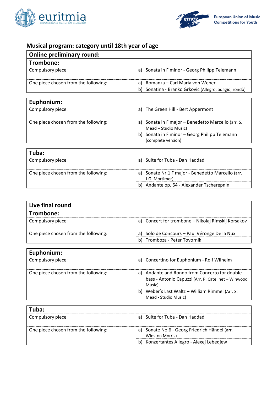



┓

# **Musical program: category until 18th year of age**

| <b>Online preliminary round:</b>     |                                                          |
|--------------------------------------|----------------------------------------------------------|
| Trombone:                            |                                                          |
| Compulsory piece:                    | Sonata in F minor - Georg Philipp Telemann<br>a)         |
| One piece chosen from the following: | Romanza – Carl Maria von Weber<br>a)                     |
|                                      | Sonatina - Branko Grkovic (Allegro, adagio, rondò)<br>b) |

# **Euphonium:**

| EUPHOHIUHI.                          |                                                                            |
|--------------------------------------|----------------------------------------------------------------------------|
| Compulsory piece:                    | a) The Green Hill - Bert Appermont                                         |
| One piece chosen from the following: | a) Sonata in F major - Benedetto Marcello (arr. S.<br>Mead – Studio Music) |
|                                      | b) Sonata in F minor - Georg Philipp Telemann<br>(complete version)        |
|                                      |                                                                            |

| Tuba:                                |                                                                     |
|--------------------------------------|---------------------------------------------------------------------|
| Compulsory piece:                    | a) Suite for Tuba - Dan Haddad                                      |
| One piece chosen from the following: | a) Sonate Nr.1 F major - Benedetto Marcello (arr.<br>J.G. Mortimer) |
|                                      | Andante op. 64 - Alexander Tscherepnin<br>b)                        |

| Live final round                     |                                                    |
|--------------------------------------|----------------------------------------------------|
| Trombone:                            |                                                    |
| Compulsory piece:                    | a) Concert for trombone - Nikolaj Rimskij Korsakov |
| One piece chosen from the following: | a) Solo de Concours - Paul Véronge De la Nux       |
|                                      | Tromboza - Peter Tovornik<br>b)                    |

| Euphonium:                           |                                                                                                                   |
|--------------------------------------|-------------------------------------------------------------------------------------------------------------------|
| Compulsory piece:                    | a) Concertino for Euphonium - Rolf Wilhelm                                                                        |
| One piece chosen from the following: | Andante and Rondo from Concerto for double<br>a)<br>bass - Antonio Capuzzi (Arr. P. Catelinet - Winwood<br>Music) |
|                                      | Weber's Last Waltz - William Rimmel (Arr. S.<br>b)<br>Mead - Studio Music)                                        |

| Tuba:                                |                                                                  |
|--------------------------------------|------------------------------------------------------------------|
| Compulsory piece:                    | a) Suite for Tuba - Dan Haddad                                   |
| One piece chosen from the following: | a) Sonate No.6 - Georg Friedrich Händel (arr.<br>Winston Morris) |
|                                      | Konzertantes Allegro - Alexej Lebedjew<br>b)                     |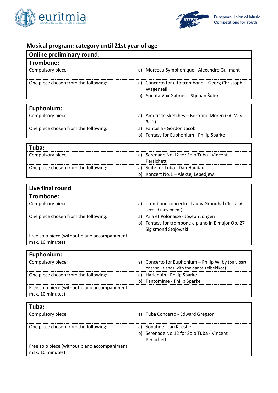



# **Musical program: category until 21st year of age**

| <b>Online preliminary round:</b>     |                                                              |
|--------------------------------------|--------------------------------------------------------------|
| Trombone:                            |                                                              |
| Compulsory piece:                    | Morceau Symphonique - Alexandre Guilmant<br>a)               |
| One piece chosen from the following: | a) Concerto for alto trombone - Georg Christoph<br>Wagenseil |
|                                      | Sonata Vox Gabrieli - Stjepan Šulek<br>b)                    |

| Euphonium:                           |                                                           |
|--------------------------------------|-----------------------------------------------------------|
| Compulsory piece:                    | a) American Sketches - Bertrand Moren (Ed. Marc<br>Reift) |
| One piece chosen from the following: | a) Fantasia - Gordon Jacob                                |
|                                      | b) Fantasy for Euphonium - Philip Sparke                  |

| Tuba:                                |                                                          |
|--------------------------------------|----------------------------------------------------------|
| Compulsory piece:                    | a) Serenade No.12 for Solo Tuba - Vincent<br>Persichetti |
| One piece chosen from the following: | a) Suite for Tuba - Dan Haddad                           |
|                                      | b) Konzert No.1 - Aleksej Lebedjew                       |

| Live final round                              |                                                                         |
|-----------------------------------------------|-------------------------------------------------------------------------|
| Trombone:                                     |                                                                         |
| Compulsory piece:                             | Trombone concerto - Launy Grondhal (first and<br>a)<br>second movement) |
| One piece chosen from the following:          | a) Aria et Polonaise - Joseph Jongen                                    |
|                                               | Fantasy for trombone e piano in E major Op. 27 -<br>b)                  |
|                                               | Sigismond Stojowski                                                     |
| Free solo piece (without piano accompaniment, |                                                                         |
| max. 10 minutes)                              |                                                                         |

| Euphonium:                                                        |                                                                                                    |
|-------------------------------------------------------------------|----------------------------------------------------------------------------------------------------|
| Compulsory piece:                                                 | a) Concerto for Euphonium - Philip Wilby (only part<br>one: so, it ends with the dance zeibekikos) |
| One piece chosen from the following:                              | a) Harlequin - Philip Sparke                                                                       |
|                                                                   | b) Pantomime - Philip Sparke                                                                       |
| Free solo piece (without piano accompaniment,<br>max. 10 minutes) |                                                                                                    |

| Tuba:                                                             |                                                          |
|-------------------------------------------------------------------|----------------------------------------------------------|
| Compulsory piece:                                                 | Tuba Concerto - Edward Gregson<br>a)                     |
| One piece chosen from the following:                              | Sonatine - Jan Koestier<br>a)                            |
|                                                                   | b) Serenade No.12 for Solo Tuba - Vincent<br>Persichetti |
| Free solo piece (without piano accompaniment,<br>max. 10 minutes) |                                                          |